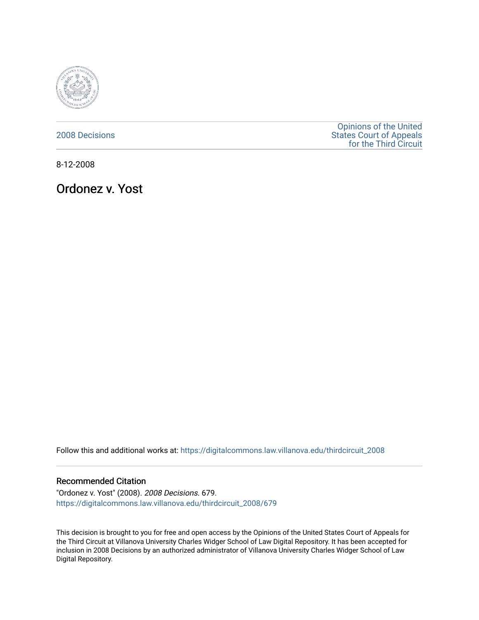

[2008 Decisions](https://digitalcommons.law.villanova.edu/thirdcircuit_2008)

[Opinions of the United](https://digitalcommons.law.villanova.edu/thirdcircuit)  [States Court of Appeals](https://digitalcommons.law.villanova.edu/thirdcircuit)  [for the Third Circuit](https://digitalcommons.law.villanova.edu/thirdcircuit) 

8-12-2008

Ordonez v. Yost

Follow this and additional works at: [https://digitalcommons.law.villanova.edu/thirdcircuit\\_2008](https://digitalcommons.law.villanova.edu/thirdcircuit_2008?utm_source=digitalcommons.law.villanova.edu%2Fthirdcircuit_2008%2F679&utm_medium=PDF&utm_campaign=PDFCoverPages) 

### Recommended Citation

"Ordonez v. Yost" (2008). 2008 Decisions. 679. [https://digitalcommons.law.villanova.edu/thirdcircuit\\_2008/679](https://digitalcommons.law.villanova.edu/thirdcircuit_2008/679?utm_source=digitalcommons.law.villanova.edu%2Fthirdcircuit_2008%2F679&utm_medium=PDF&utm_campaign=PDFCoverPages)

This decision is brought to you for free and open access by the Opinions of the United States Court of Appeals for the Third Circuit at Villanova University Charles Widger School of Law Digital Repository. It has been accepted for inclusion in 2008 Decisions by an authorized administrator of Villanova University Charles Widger School of Law Digital Repository.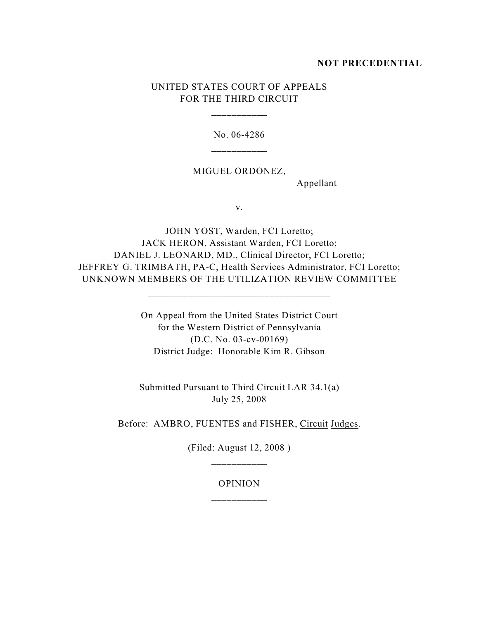### **NOT PRECEDENTIAL**

# UNITED STATES COURT OF APPEALS FOR THE THIRD CIRCUIT

\_\_\_\_\_\_\_\_\_\_\_

No. 06-4286

## MIGUEL ORDONEZ,

Appellant

v.

JOHN YOST, Warden, FCI Loretto; JACK HERON, Assistant Warden, FCI Loretto; DANIEL J. LEONARD, MD., Clinical Director, FCI Loretto; JEFFREY G. TRIMBATH, PA-C, Health Services Administrator, FCI Loretto; UNKNOWN MEMBERS OF THE UTILIZATION REVIEW COMMITTEE

\_\_\_\_\_\_\_\_\_\_\_\_\_\_\_\_\_\_\_\_\_\_\_\_\_\_\_\_\_\_\_\_\_\_\_\_

On Appeal from the United States District Court for the Western District of Pennsylvania (D.C. No. 03-cv-00169) District Judge: Honorable Kim R. Gibson

\_\_\_\_\_\_\_\_\_\_\_\_\_\_\_\_\_\_\_\_\_\_\_\_\_\_\_\_\_\_\_\_\_\_\_\_

Submitted Pursuant to Third Circuit LAR 34.1(a) July 25, 2008

Before: AMBRO, FUENTES and FISHER, Circuit Judges.

(Filed: August 12, 2008 ) \_\_\_\_\_\_\_\_\_\_\_

# OPINION \_\_\_\_\_\_\_\_\_\_\_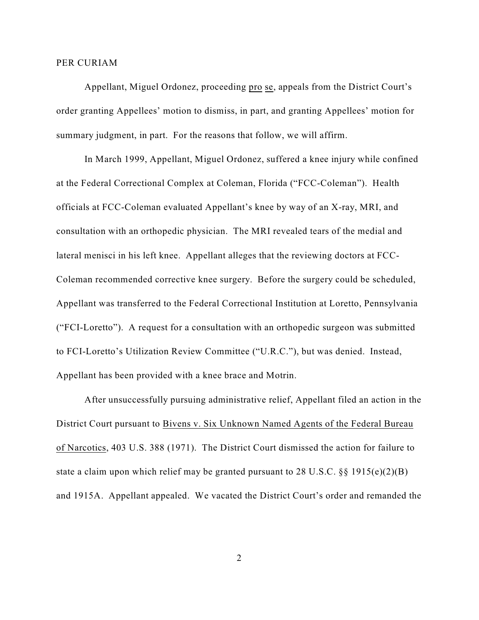#### PER CURIAM

Appellant, Miguel Ordonez, proceeding pro se, appeals from the District Court's order granting Appellees' motion to dismiss, in part, and granting Appellees' motion for summary judgment, in part. For the reasons that follow, we will affirm.

In March 1999, Appellant, Miguel Ordonez, suffered a knee injury while confined at the Federal Correctional Complex at Coleman, Florida ("FCC-Coleman"). Health officials at FCC-Coleman evaluated Appellant's knee by way of an X-ray, MRI, and consultation with an orthopedic physician. The MRI revealed tears of the medial and lateral menisci in his left knee. Appellant alleges that the reviewing doctors at FCC-Coleman recommended corrective knee surgery. Before the surgery could be scheduled, Appellant was transferred to the Federal Correctional Institution at Loretto, Pennsylvania ("FCI-Loretto"). A request for a consultation with an orthopedic surgeon was submitted to FCI-Loretto's Utilization Review Committee ("U.R.C."), but was denied. Instead, Appellant has been provided with a knee brace and Motrin.

After unsuccessfully pursuing administrative relief, Appellant filed an action in the District Court pursuant to Bivens v. Six Unknown Named Agents of the Federal Bureau of Narcotics, 403 U.S. 388 (1971). The District Court dismissed the action for failure to state a claim upon which relief may be granted pursuant to 28 U.S.C. §§ 1915(e)(2)(B) and 1915A. Appellant appealed. We vacated the District Court's order and remanded the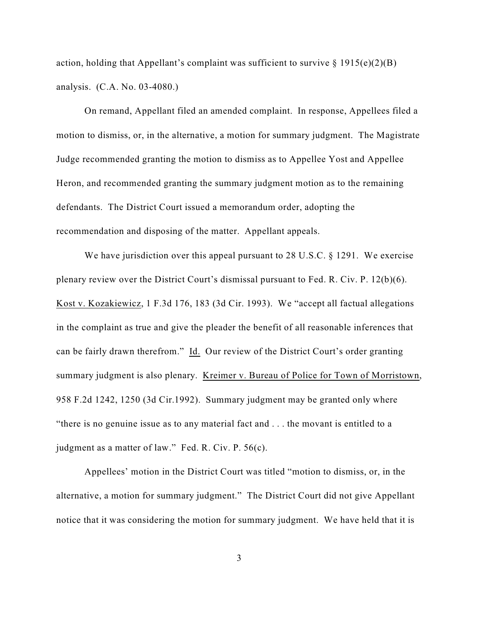action, holding that Appellant's complaint was sufficient to survive  $\S 1915(e)(2)(B)$ analysis. (C.A. No. 03-4080.)

On remand, Appellant filed an amended complaint. In response, Appellees filed a motion to dismiss, or, in the alternative, a motion for summary judgment. The Magistrate Judge recommended granting the motion to dismiss as to Appellee Yost and Appellee Heron, and recommended granting the summary judgment motion as to the remaining defendants. The District Court issued a memorandum order, adopting the recommendation and disposing of the matter. Appellant appeals.

We have jurisdiction over this appeal pursuant to 28 U.S.C. § 1291. We exercise plenary review over the District Court's dismissal pursuant to Fed. R. Civ. P. 12(b)(6). Kost v. Kozakiewicz, 1 F.3d 176, 183 (3d Cir. 1993). We "accept all factual allegations in the complaint as true and give the pleader the benefit of all reasonable inferences that can be fairly drawn therefrom." Id. Our review of the District Court's order granting summary judgment is also plenary. Kreimer v. Bureau of Police for Town of Morristown, 958 F.2d 1242, 1250 (3d Cir.1992). Summary judgment may be granted only where "there is no genuine issue as to any material fact and . . . the movant is entitled to a judgment as a matter of law." Fed. R. Civ. P. 56(c).

Appellees' motion in the District Court was titled "motion to dismiss, or, in the alternative, a motion for summary judgment." The District Court did not give Appellant notice that it was considering the motion for summary judgment. We have held that it is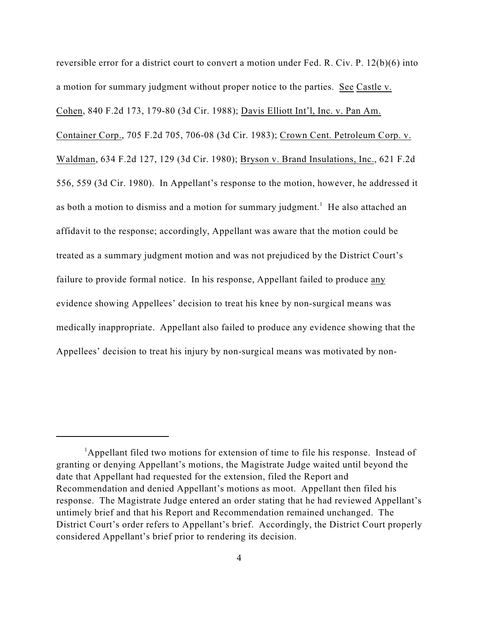reversible error for a district court to convert a motion under Fed. R. Civ. P. 12(b)(6) into a motion for summary judgment without proper notice to the parties. See Castle v. Cohen, 840 F.2d 173, 179-80 (3d Cir. 1988); Davis Elliott Int'l, Inc. v. Pan Am. Container Corp., 705 F.2d 705, 706-08 (3d Cir. 1983); Crown Cent. Petroleum Corp. v. Waldman, 634 F.2d 127, 129 (3d Cir. 1980); Bryson v. Brand Insulations, Inc., 621 F.2d 556, 559 (3d Cir. 1980). In Appellant's response to the motion, however, he addressed it as both a motion to dismiss and a motion for summary judgment.<sup>1</sup> He also attached an affidavit to the response; accordingly, Appellant was aware that the motion could be treated as a summary judgment motion and was not prejudiced by the District Court's failure to provide formal notice. In his response, Appellant failed to produce any evidence showing Appellees' decision to treat his knee by non-surgical means was medically inappropriate. Appellant also failed to produce any evidence showing that the Appellees' decision to treat his injury by non-surgical means was motivated by non-

 ${}^{1}$ Appellant filed two motions for extension of time to file his response. Instead of granting or denying Appellant's motions, the Magistrate Judge waited until beyond the date that Appellant had requested for the extension, filed the Report and Recommendation and denied Appellant's motions as moot. Appellant then filed his response. The Magistrate Judge entered an order stating that he had reviewed Appellant's untimely brief and that his Report and Recommendation remained unchanged. The District Court's order refers to Appellant's brief. Accordingly, the District Court properly considered Appellant's brief prior to rendering its decision.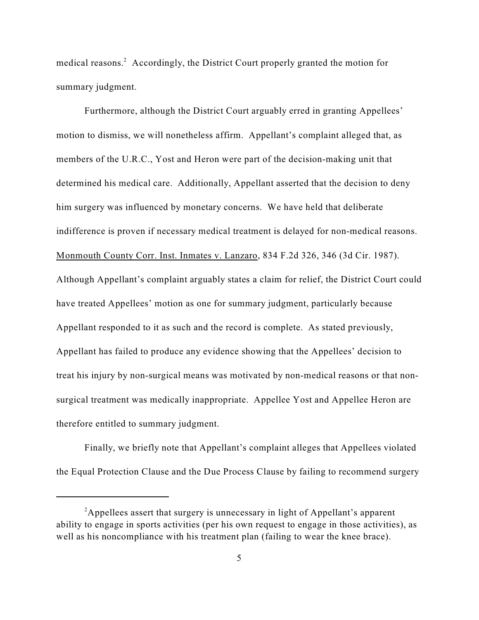medical reasons.<sup>2</sup> Accordingly, the District Court properly granted the motion for summary judgment.

Furthermore, although the District Court arguably erred in granting Appellees' motion to dismiss, we will nonetheless affirm. Appellant's complaint alleged that, as members of the U.R.C., Yost and Heron were part of the decision-making unit that determined his medical care. Additionally, Appellant asserted that the decision to deny him surgery was influenced by monetary concerns. We have held that deliberate indifference is proven if necessary medical treatment is delayed for non-medical reasons. Monmouth County Corr. Inst. Inmates v. Lanzaro, 834 F.2d 326, 346 (3d Cir. 1987). Although Appellant's complaint arguably states a claim for relief, the District Court could have treated Appellees' motion as one for summary judgment, particularly because Appellant responded to it as such and the record is complete. As stated previously, Appellant has failed to produce any evidence showing that the Appellees' decision to treat his injury by non-surgical means was motivated by non-medical reasons or that nonsurgical treatment was medically inappropriate. Appellee Yost and Appellee Heron are therefore entitled to summary judgment.

Finally, we briefly note that Appellant's complaint alleges that Appellees violated the Equal Protection Clause and the Due Process Clause by failing to recommend surgery

<sup>&</sup>lt;sup>2</sup>Appellees assert that surgery is unnecessary in light of Appellant's apparent ability to engage in sports activities (per his own request to engage in those activities), as well as his noncompliance with his treatment plan (failing to wear the knee brace).